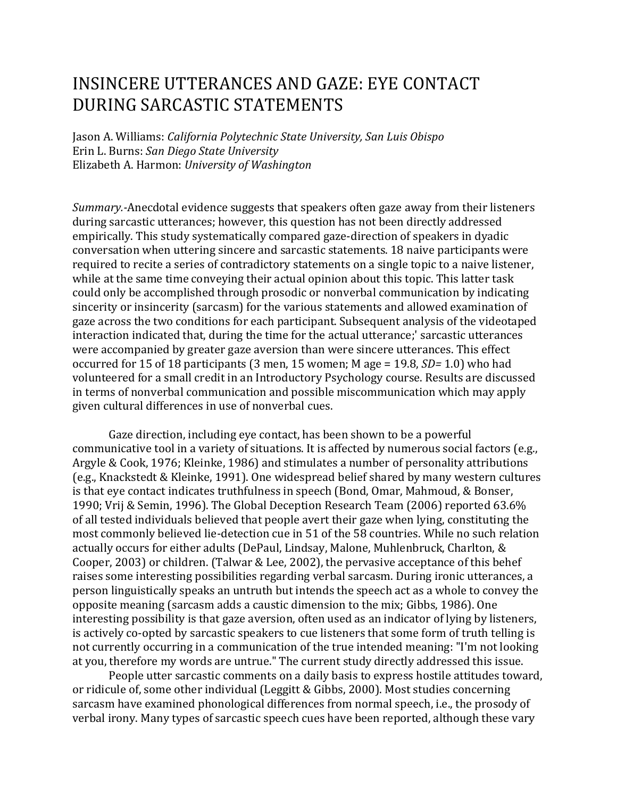# INSINCERE UTTERANCES AND GAZE: EYE CONTACT DURING SARCASTIC STATEMENTS

Jason A. Williams: *California Polytechnic State University, San Luis Obispo*  Erin L. Burns: *San Diego State University*  Elizabeth A. Harmon: *University of Washington* 

 conversation when uttering sincere and sarcastic statements. 18 naive participants were required to recite a series of contradictory statements on a single topic to a naive listener, occurred for 15 of 18 participants (3 men, 15 women; M age = 19.8, *SD=* 1.0) who had *Summary.-*Anecdotal evidence suggests that speakers often gaze away from their listeners during sarcastic utterances; however, this question has not been directly addressed empirically. This study systematically compared gaze-direction of speakers in dyadic while at the same time conveying their actual opinion about this topic. This latter task could only be accomplished through prosodic or nonverbal communication by indicating sincerity or insincerity (sarcasm) for the various statements and allowed examination of gaze across the two conditions for each participant. Subsequent analysis of the videotaped interaction indicated that, during the time for the actual utterance;' sarcastic utterances were accompanied by greater gaze aversion than were sincere utterances. This effect volunteered for a small credit in an Introductory Psychology course. Results are discussed in terms of nonverbal communication and possible miscommunication which may apply given cultural differences in use of nonverbal cues.

 is that eye contact indicates truthfulness in speech (Bond, Omar, Mahmoud, & Bonser, 1990; Vrij & Semin, 1996). The Global Deception Research Team (2006) reported 63.6% Cooper, 2003) or children. (Talwar & Lee, 2002), the pervasive acceptance of this behef raises some interesting possibilities regarding verbal sarcasm. During ironic utterances, a not currently occurring in a communication of the true intended meaning: "I'm not looking Gaze direction, including eye contact, has been shown to be a powerful communicative tool in a variety of situations. It is affected by numerous social factors (e.g., Argyle & Cook, 1976; Kleinke, 1986) and stimulates a number of personality attributions (e.g., Knackstedt & Kleinke, 1991). One widespread belief shared by many western cultures of all tested individuals believed that people avert their gaze when lying, constituting the most commonly believed lie-detection cue in 51 of the 58 countries. While no such relation actually occurs for either adults (DePaul, Lindsay, Malone, Muhlenbruck, Charlton, & person linguistically speaks an untruth but intends the speech act as a whole to convey the opposite meaning (sarcasm adds a caustic dimension to the mix; Gibbs, 1986). One interesting possibility is that gaze aversion, often used as an indicator of lying by listeners, is actively co-opted by sarcastic speakers to cue listeners that some form of truth telling is at you, therefore my words are untrue." The current study directly addressed this issue.

 People utter sarcastic comments on a daily basis to express hostile attitudes toward, or ridicule of, some other individual (Leggitt & Gibbs, 2000). Most studies concerning sarcasm have examined phonological differences from normal speech, i.e., the prosody of verbal irony. Many types of sarcastic speech cues have been reported, although these vary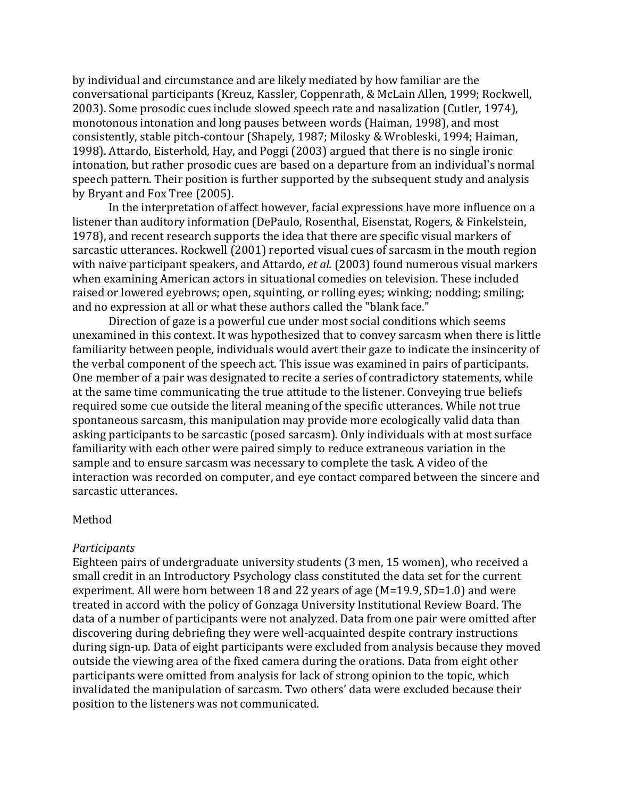consistently, stable pitch-contour (Shapely, 1987; Milosky & Wrobleski, 1994; Haiman, intonation, but rather prosodic cues are based on a departure from an individual's normal by Bryant and Fox Tree (2005). by individual and circumstance and are likely mediated by how familiar are the conversational participants (Kreuz, Kassler, Coppenrath, & McLain Allen, 1999; Rockwell, 2003). Some prosodic cues include slowed speech rate and nasalization (Cutler, 1974), monotonous intonation and long pauses between words (Haiman, 1998), and most 1998). Attardo, Eisterhold, Hay, and Poggi (2003) argued that there is no single ironic speech pattern. Their position is further supported by the subsequent study and analysis

 In the interpretation of affect however, facial expressions have more influence on a listener than auditory information (DePaulo, Rosenthal, Eisenstat, Rogers, & Finkelstein, raised or lowered eyebrows; open, squinting, or rolling eyes; winking; nodding; smiling; 1978), and recent research supports the idea that there are specific visual markers of sarcastic utterances. Rockwell (2001) reported visual cues of sarcasm in the mouth region with naive participant speakers, and Attardo, *et al.* (2003) found numerous visual markers when examining American actors in situational comedies on television. These included and no expression at all or what these authors called the "blank face."

 the verbal component of the speech act. This issue was examined in pairs of participants. Direction of gaze is a powerful cue under most social conditions which seems unexamined in this context. It was hypothesized that to convey sarcasm when there is little familiarity between people, individuals would avert their gaze to indicate the insincerity of One member of a pair was designated to recite a series of contradictory statements, while at the same time communicating the true attitude to the listener. Conveying true beliefs required some cue outside the literal meaning of the specific utterances. While not true spontaneous sarcasm, this manipulation may provide more ecologically valid data than asking participants to be sarcastic (posed sarcasm). Only individuals with at most surface familiarity with each other were paired simply to reduce extraneous variation in the sample and to ensure sarcasm was necessary to complete the task. A video of the interaction was recorded on computer, and eye contact compared between the sincere and sarcastic utterances.

#### Method

## *Participants*

 invalidated the manipulation of sarcasm. Two others' data were excluded because their position to the listeners was not communicated. Eighteen pairs of undergraduate university students (3 men, 15 women), who received a small credit in an Introductory Psychology class constituted the data set for the current experiment. All were born between 18 and 22 years of age (M=19.9, SD=1.0) and were treated in accord with the policy of Gonzaga University Institutional Review Board. The data of a number of participants were not analyzed. Data from one pair were omitted after discovering during debriefing they were well-acquainted despite contrary instructions during sign-up. Data of eight participants were excluded from analysis because they moved outside the viewing area of the fixed camera during the orations. Data from eight other participants were omitted from analysis for lack of strong opinion to the topic, which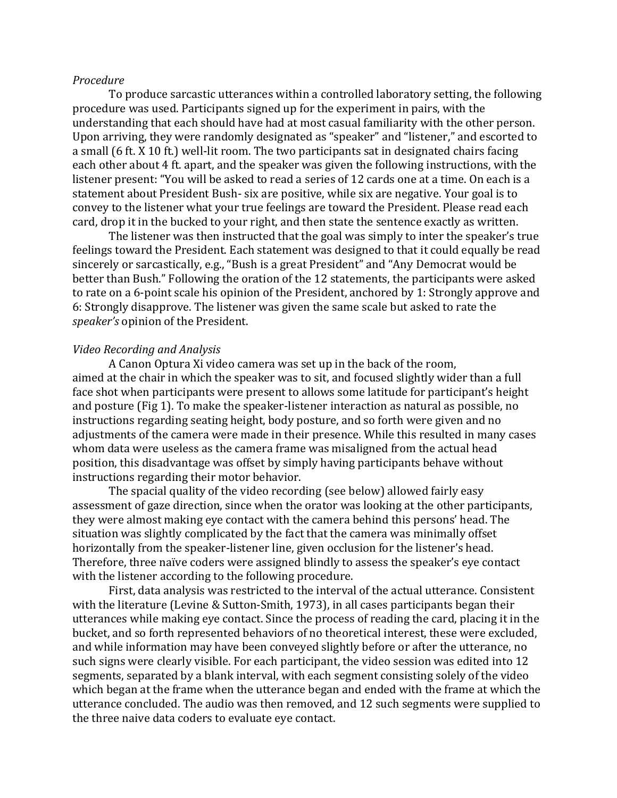#### *Procedure*

 To produce sarcastic utterances within a controlled laboratory setting, the following procedure was used. Participants signed up for the experiment in pairs, with the understanding that each should have had at most casual familiarity with the other person. Upon arriving, they were randomly designated as "speaker" and "listener," and escorted to a small (6 ft. X 10 ft.) well-lit room. The two participants sat in designated chairs facing each other about 4 ft. apart, and the speaker was given the following instructions, with the listener present: "You will be asked to read a series of 12 cards one at a time; On each is a statement about President Bush- six are positive, while six are negative. Your goal is to convey to the listener what your true feelings are toward the President. Please read each card, drop it in the bucked to your right, and then state the sentence exactly as written.

The listener was then instructed that the goal was simply to inter the speaker's true feelings toward the President. Each statement was designed to that it could equally be read sincerely or sarcastically, e.g., "Bush is a great President" and "Any Democrat would be better than Bush." Following the oration of the 12 statements, the participants were asked to rate on a 6-point scale his opinion of the President, anchored by 1: Strongly approve and 6: Strongly disapprove. The listener was given the same scale but asked to rate the *speaker's* opinion of the President.

## *Video Recording and Analysis*

A Canon Optura Xi video camera was set up in the back of the room, position, this disadvantage was offset by simply having participants behave without instructions regarding their motor behavior. aimed at the chair in which the speaker was to sit, and focused slightly wider than a full face shot when participants were present to allows some latitude for participant's height and posture (Fig 1). To make the speaker-listener interaction as natural as possible, no instructions regarding seating height, body posture, and so forth were given and no adjustments of the camera were made in their presence. While this resulted in many cases whom data were useless as the camera frame was misaligned from the actual head

 they were almost making eye contact with the camera behind this persons' head; The The spacial quality of the video recording (see below) allowed fairly easy assessment of gaze direction, since when the orator was looking at the other participants, situation was slightly complicated by the fact that the camera was minimally offset horizontally from the speaker-listener line, given occlusion for the listener's head; Therefore, three naïve coders were assigned blindly to assess the speaker's eye contact with the listener according to the following procedure.

First, data analysis was restricted to the interval of the actual utterance. Consistent with the literature (Levine & Sutton-Smith, 1973), in all cases participants began their utterances while making eye contact. Since the process of reading the card, placing it in the bucket, and so forth represented behaviors of no theoretical interest, these were excluded, and while information may have been conveyed slightly before or after the utterance, no such signs were clearly visible. For each participant, the video session was edited into 12 segments, separated by a blank interval, with each segment consisting solely of the video which began at the frame when the utterance began and ended with the frame at which the utterance concluded. The audio was then removed, and 12 such segments were supplied to the three naive data coders to evaluate eye contact.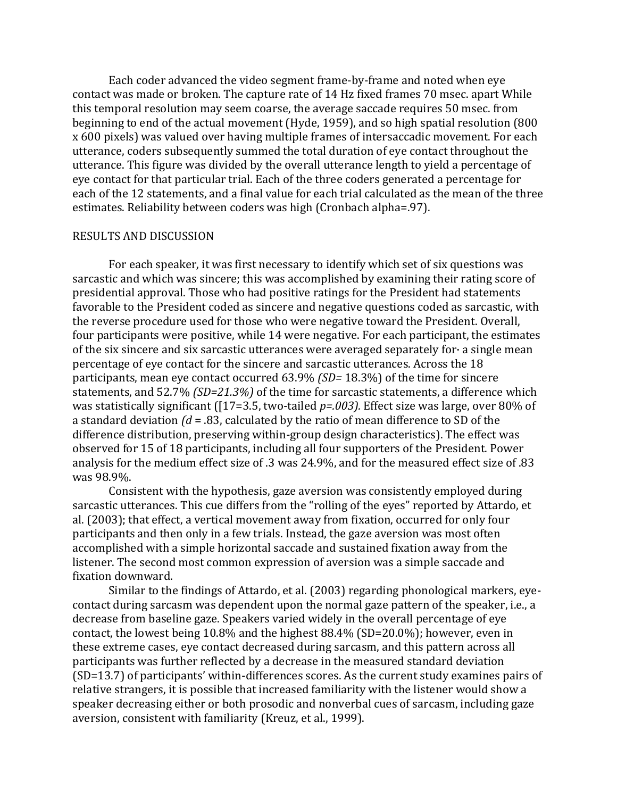Each coder advanced the video segment frame-by-frame and noted when eye contact was made or broken. The capture rate of 14 Hz fixed frames 70 msec. apart While this temporal resolution may seem coarse, the average saccade requires 50 msec. from beginning to end of the actual movement (Hyde, 1959), and so high spatial resolution (800 x 600 pixels) was valued over having multiple frames of intersaccadic movement. For each utterance, coders subsequently summed the total duration of eye contact throughout the utterance. This figure was divided by the overall utterance length to yield a percentage of eye contact for that particular trial. Each of the three coders generated a percentage for each of the 12 statements, and a final value for each trial calculated as the mean of the three estimates. Reliability between coders was high (Cronbach alpha=.97).

#### RESULTS AND DISCUSSION

 participants, mean eye contact occurred 63.9% *(SD=* 18.3%) of the time for sincere For each speaker, it was first necessary to identify which set of six questions was sarcastic and which was sincere; this was accomplished by examining their rating score of presidential approval. Those who had positive ratings for the President had statements favorable to the President coded as sincere and negative questions coded as sarcastic, with the reverse procedure used for those who were negative toward the President. Overall, four participants were positive, while 14 were negative. For each participant, the estimates of the six sincere and six sarcastic utterances were averaged separately for· a single mean percentage of eye contact for the sincere and sarcastic utterances. Across the 18 statements, and 52.7% *(SD=21.3%)* of the time for sarcastic statements, a difference which was statistically significant ([17=3.5, two-tailed *p=.003).* Effect size was large, over 80% of a standard deviation *(d* = .83, calculated by the ratio of mean difference to SD of the difference distribution, preserving within-group design characteristics). The effect was observed for 15 of 18 participants, including all four supporters of the President. Power analysis for the medium effect size of .3 was 24.9%, and for the measured effect size of .83 was 98.9%.

Consistent with the hypothesis, gaze aversion was consistently employed during sarcastic utterances. This cue differs from the "rolling of the eyes" reported by Attardo, et al. (2003); that effect, a vertical movement away from fixation, occurred for only four participants and then only in a few trials. Instead, the gaze aversion was most often accomplished with a simple horizontal saccade and sustained fixation away from the listener. The second most common expression of aversion was a simple saccade and fixation downward.

 speaker decreasing either or both prosodic and nonverbal cues of sarcasm, including gaze aversion, consistent with familiarity (Kreuz, et al., 1999). Similar to the findings of Attardo, et al. (2003) regarding phonological markers, eyecontact during sarcasm was dependent upon the normal gaze pattern of the speaker, i.e., a decrease from baseline gaze. Speakers varied widely in the overall percentage of eye contact, the lowest being 10.8% and the highest 88.4% (SD=20.0%); however, even in these extreme cases, eye contact decreased during sarcasm, and this pattern across all participants was further reflected by a decrease in the measured standard deviation (SD=13.7) of participants' within-differences scores. As the current study examines pairs of relative strangers, it is possible that increased familiarity with the listener would show a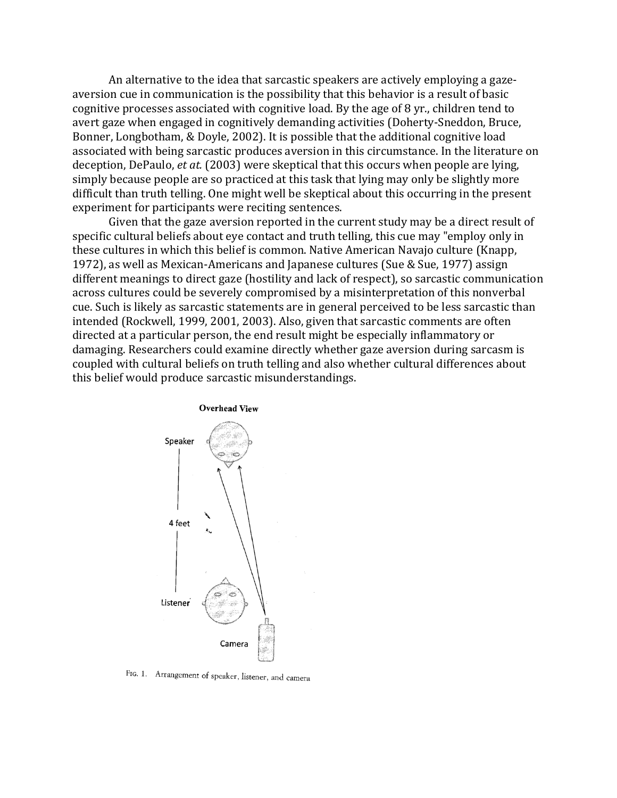An alternative to the idea that sarcastic speakers are actively employing a gazeaversion cue in communication is the possibility that this behavior is a result of basic cognitive processes associated with cognitive load. By the age of 8 yr., children tend to avert gaze when engaged in cognitively demanding activities (Doherty-Sneddon, Bruce, Bonner, Longbotham, & Doyle, 2002). It is possible that the additional cognitive load associated with being sarcastic produces aversion in this circumstance. In the literature on deception, DePaulo, *et at.* (2003) were skeptical that this occurs when people are lying, simply because people are so practiced at this task that lying may only be slightly more difficult than truth telling. One might well be skeptical about this occurring in the present experiment for participants were reciting sentences.

Given that the gaze aversion reported in the current study may be a direct result of specific cultural beliefs about eye contact and truth telling, this cue may "employ only in these cultures in which this belief is common. Native American Navajo culture (Knapp, 1972), as well as Mexican-Americans and Japanese cultures (Sue & Sue, 1977) assign different meanings to direct gaze (hostility and lack of respect), so sarcastic communication across cultures could be severely compromised by a misinterpretation of this nonverbal cue. Such is likely as sarcastic statements are in general perceived to be less sarcastic than intended (Rockwell, 1999, 2001, 2003). Also, given that sarcastic comments are often directed at a particular person, the end result might be especially inflammatory or damaging. Researchers could examine directly whether gaze aversion during sarcasm is coupled with cultural beliefs on truth telling and also whether cultural differences about this belief would produce sarcastic misunderstandings.



FIG. 1. Arrangement of speaker. listener, and camera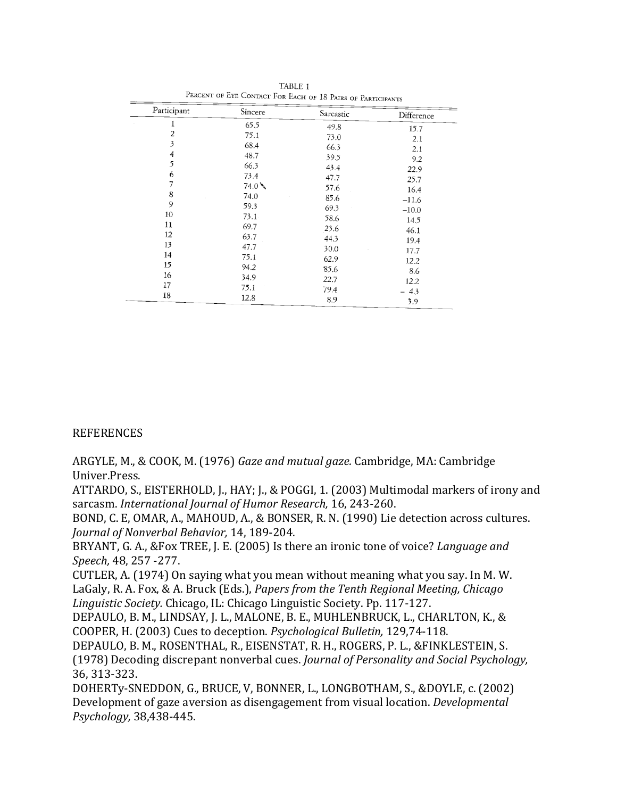| Participant | Sincere | Sarcastic | Difference |  |
|-------------|---------|-----------|------------|--|
| 1           | 65.5    | 49.8      | 15.7       |  |
| 2           | 75.1    | 73.0      | 2.1        |  |
| 3           | 68.4    | 66.3      | 2.1        |  |
| 4           | 48.7    | 39.5      | 9.2        |  |
| 5           | 66.3    | 43.4      | 22.9       |  |
| 6           | 73.4    | 47.7      | 25.7       |  |
| 7           | 74.0    | 57.6      | 16.4       |  |
| 8           | 74.0    | 85.6      | $-11.6$    |  |
| 9           | 59.3    | 69.3      | $-10.0$    |  |
| 10          | 73.1    | 58.6      |            |  |
| 11          | 69.7    | 23.6      | 14.5       |  |
| 12          | 63.7    | 44.3      | 46.1       |  |
| 13          | 47.7    | 30.0      | 19.4       |  |
| 14          | 75.1    | 62.9      | 17.7       |  |
| 15          | 94.2    | 85.6      | 12.2       |  |
| 16          | 34.9    |           | 8.6        |  |
| 17          | 75.1    | 22.7      | 12.2       |  |
| 18          | 12.8    | 79.4      | 4.3        |  |
|             |         | 8.9       | 3.9        |  |

I TABLE **PERCENT OF EYE CONTACf FOR EACH OF <sup>18</sup> PAIRS OF PARTICIl'ANTS**

# **REFERENCES**

ARGYLE, M., & COOK, M. (1976) *Gaze and mutual gaze.* Cambridge, MA: Cambridge Univer.Press.

 ATTARDO, S., EISTERHOLD, J., HAY; J., & POGGI, 1. (2003) Multimodal markers of irony and  sarcasm. *International Journal of Humor Research,* 16, 243-260.

BOND, C. E, OMAR, A., MAHOUD, A., & BONSER, R. N. (1990) Lie detection across cultures. *Journal of Nonverbal Behavior,* 14, 189-204.

 BRYANT, G. A., &Fox TREE, J. E. (2005) Is there an ironic tone of voice? *Language and Speech,* 48, 257 -277.

CUTLER, A. (1974) On saying what you mean without meaning what you say. In M. W. LaGaly, R. A. Fox, & A. Bruck (Eds.), *Papers from the Tenth Regional Meeting, Chicago Linguistic Society.* Chicago, IL: Chicago Linguistic Society. Pp. 117-127.

 DEPAULO, B. M., LINDSAY, J. L., MALONE, B. E., MUHLENBRUCK, L., CHARLTON, K., & COOPER, H. (2003) Cues to deception. *Psychological Bulletin,* 129,74-118.

 DEPAULO, B. M., ROSENTHAL, R., EISENSTAT, R. H., ROGERS, P. L., &FINKLESTEIN, S. (1978) Decoding discrepant nonverbal cues. *Journal of Personality and Social Psychology,*  36, 313-323.

 DOHERTy-SNEDDON, G., BRUCE, V, BONNER, L., LONGBOTHAM, S., &DOYLE, c. (2002) Development of gaze aversion as disengagement from visual location. *Developmental Psychology,* 38,438-445.